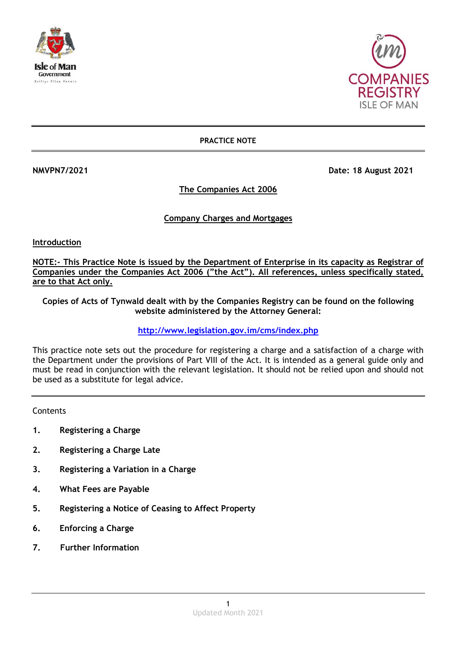



**PRACTICE NOTE**

**NMVPN7/2021 Date: 18 August 2021** 

**The Companies Act 2006**

# **Company Charges and Mortgages**

**Introduction**

**NOTE:- This Practice Note is issued by the Department of Enterprise in its capacity as Registrar of Companies under the Companies Act 2006 ("the Act"). All references, unless specifically stated, are to that Act only.**

**Copies of Acts of Tynwald dealt with by the Companies Registry can be found on the following website administered by the Attorney General:**

**<http://www.legislation.gov.im/cms/index.php>**

This practice note sets out the procedure for registering a charge and a satisfaction of a charge with the Department under the provisions of Part VIII of the Act. It is intended as a general guide only and must be read in conjunction with the relevant legislation. It should not be relied upon and should not be used as a substitute for legal advice.

**Contents** 

- **1. Registering a Charge**
- **2. Registering a Charge Late**
- **3. Registering a Variation in a Charge**
- **4. What Fees are Payable**
- **5. Registering a Notice of Ceasing to Affect Property**
- **6. Enforcing a Charge**
- **7. Further Information**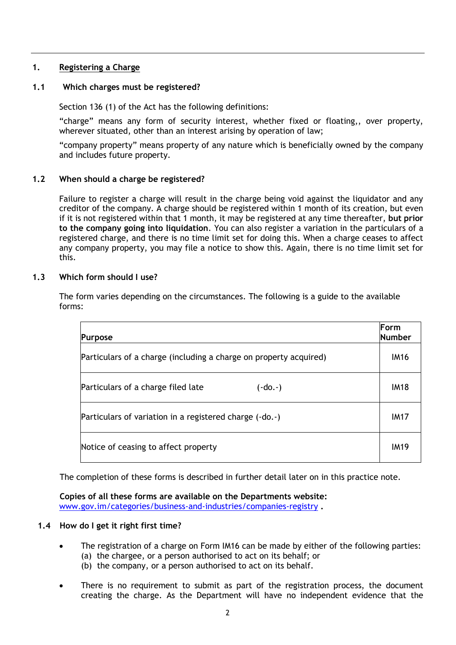# **1. Registering a Charge**

# **1.1 Which charges must be registered?**

Section 136 (1) of the Act has the following definitions:

"charge" means any form of security interest, whether fixed or floating,, over property, wherever situated, other than an interest arising by operation of law;

"company property" means property of any nature which is beneficially owned by the company and includes future property.

# **1.2 When should a charge be registered?**

Failure to register a charge will result in the charge being void against the liquidator and any creditor of the company. A charge should be registered within 1 month of its creation, but even if it is not registered within that 1 month, it may be registered at any time thereafter, **but prior to the company going into liquidation**. You can also register a variation in the particulars of a registered charge, and there is no time limit set for doing this. When a charge ceases to affect any company property, you may file a notice to show this. Again, there is no time limit set for this.

## **1.3 Which form should I use?**

| rms: |                                                                   |                       |
|------|-------------------------------------------------------------------|-----------------------|
|      | <b>Purpose</b>                                                    | Form<br><b>Number</b> |
|      | Particulars of a charge (including a charge on property acquired) | <b>IM16</b>           |
|      |                                                                   |                       |

Particulars of a charge filed late (-do.-)  $\vert$  IM18

Particulars of variation in a registered charge (-do.-) The Manuson Charles Control in the UM17

Notice of ceasing to affect property **IM19** IM19

The form varies depending on the circumstances. The following is a guide to the available for

The completion of these forms is described in further detail later on in this practice note.

**Copies of all these forms are available on the Departments website:**  [www.gov.im/categories/business-and-industries/companies-registry](http://www.gov.im/categories/business-and-industries/companies-registry) **.**

#### **1.4 How do I get it right first time?**

- The registration of a charge on Form IM16 can be made by either of the following parties: (a) the chargee, or a person authorised to act on its behalf; or (b) the company, or a person authorised to act on its behalf.
- There is no requirement to submit as part of the registration process, the document creating the charge. As the Department will have no independent evidence that the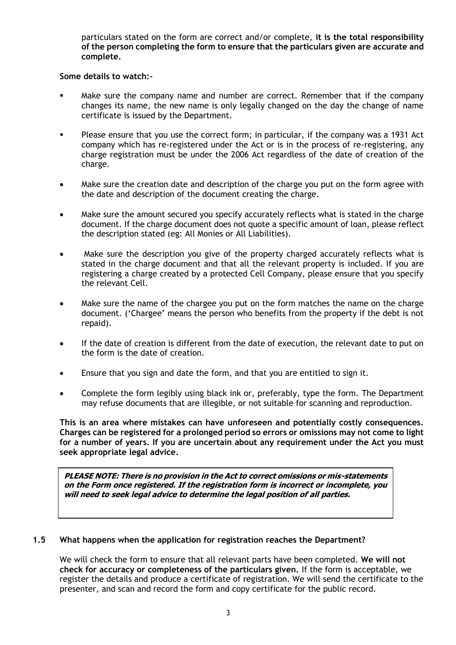particulars stated on the form are correct and/or complete, **it is the total responsibility of the person completing the form to ensure that the particulars given are accurate and complete.**

## **Some details to watch:-**

- Make sure the company name and number are correct. Remember that if the company changes its name, the new name is only legally changed on the day the change of name certificate is issued by the Department.
- Please ensure that you use the correct form; in particular, if the company was a 1931 Act company which has re-registered under the Act or is in the process of re-registering, any charge registration must be under the 2006 Act regardless of the date of creation of the charge.
- Make sure the creation date and description of the charge you put on the form agree with the date and description of the document creating the charge.
- Make sure the amount secured you specify accurately reflects what is stated in the charge document. If the charge document does not quote a specific amount of loan, please reflect the description stated (eg: All Monies or All Liabilities).
- Make sure the description you give of the property charged accurately reflects what is stated in the charge document and that all the relevant property is included. If you are registering a charge created by a protected Cell Company, please ensure that you specify the relevant Cell.
- Make sure the name of the chargee you put on the form matches the name on the charge document. ('Chargee' means the person who benefits from the property if the debt is not repaid).
- If the date of creation is different from the date of execution, the relevant date to put on the form is the date of creation.
- Ensure that you sign and date the form, and that you are entitled to sign it.
- Complete the form legibly using black ink or, preferably, type the form. The Department may refuse documents that are illegible, or not suitable for scanning and reproduction.

**This is an area where mistakes can have unforeseen and potentially costly consequences. Charges can be registered for a prolonged period so errors or omissions may not come to light for a number of years. If you are uncertain about any requirement under the Act you must seek appropriate legal advice.** 

**PLEASE NOTE: There is no provision in the Act to correct omissions or mis-statements on the Form once registered. If the registration form is incorrect or incomplete, you will need to seek legal advice to determine the legal position of all parties.**

# **1.5 What happens when the application for registration reaches the Department?**

We will check the form to ensure that all relevant parts have been completed. **We will not check for accuracy or completeness of the particulars given.** If the form is acceptable, we register the details and produce a certificate of registration. We will send the certificate to the presenter, and scan and record the form and copy certificate for the public record.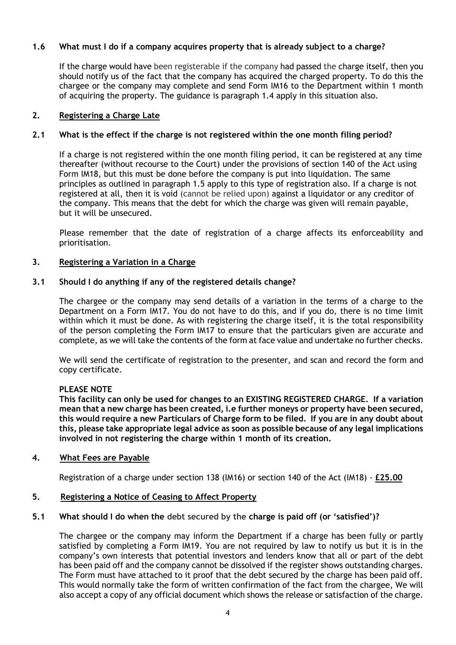# **1.6 What must I do if a company acquires property that is already subject to a charge?**

If the charge would have been registerable if the company had passed the charge itself, then you should notify us of the fact that the company has acquired the charged property. To do this the chargee or the company may complete and send Form IM16 to the Department within 1 month of acquiring the property. The guidance is paragraph 1.4 apply in this situation also.

## **2. Registering a Charge Late**

## **2.1 What is the effect if the charge is not registered within the one month filing period?**

If a charge is not registered within the one month filing period, it can be registered at any time thereafter (without recourse to the Court) under the provisions of section 140 of the Act using Form IM18, but this must be done before the company is put into liquidation. The same principles as outlined in paragraph 1.5 apply to this type of registration also. If a charge is not registered at all, then it is void (cannot be relied upon) against a liquidator or any creditor of the company. This means that the debt for which the charge was given will remain payable, but it will be unsecured.

Please remember that the date of registration of a charge affects its enforceability and prioritisation.

## **3. Registering a Variation in a Charge**

## **3.1 Should I do anything if any of the registered details change?**

The chargee or the company may send details of a variation in the terms of a charge to the Department on a Form IM17. You do not have to do this, and if you do, there is no time limit within which it must be done. As with registering the charge itself, it is the total responsibility of the person completing the Form IM17 to ensure that the particulars given are accurate and complete, as we will take the contents of the form at face value and undertake no further checks.

We will send the certificate of registration to the presenter, and scan and record the form and copy certificate.

#### **PLEASE NOTE**

**This facility can only be used for changes to an EXISTING REGISTERED CHARGE. If a variation mean that a new charge has been created, i.e further moneys or property have been secured, this would require a new Particulars of Charge form to be filed. If you are in any doubt about this, please take appropriate legal advice as soon as possible because of any legal implications involved in not registering the charge within 1 month of its creation.**

#### **4. What Fees are Payable**

Registration of a charge under section 138 (IM16) or section 140 of the Act (IM18) - **£25.00**

#### **5. Registering a Notice of Ceasing to Affect Property**

## **5.1 What should I do when the debt secured by the charge is paid off (or 'satisfied')?**

The chargee or the company may inform the Department if a charge has been fully or partly satisfied by completing a Form IM19. You are not required by law to notify us but it is in the company's own interests that potential investors and lenders know that all or part of the debt has been paid off and the company cannot be dissolved if the register shows outstanding charges. The Form must have attached to it proof that the debt secured by the charge has been paid off. This would normally take the form of written confirmation of the fact from the chargee, We will also accept a copy of any official document which shows the release or satisfaction of the charge.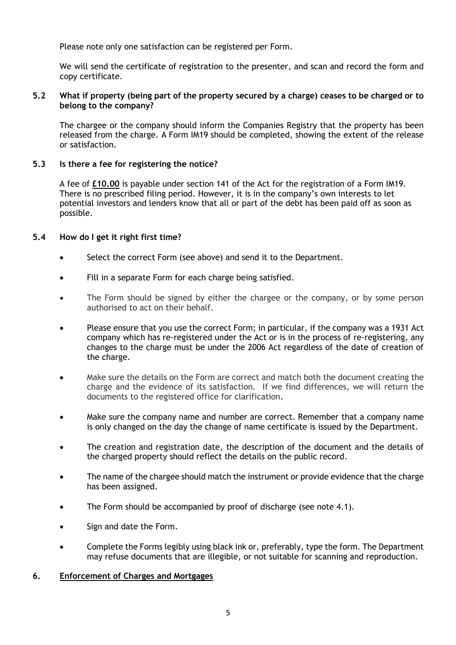Please note only one satisfaction can be registered per Form.

We will send the certificate of registration to the presenter, and scan and record the form and copy certificate.

## **5.2 What if property (being part of the property secured by a charge) ceases to be charged or to belong to the company?**

The chargee or the company should inform the Companies Registry that the property has been released from the charge. A Form IM19 should be completed, showing the extent of the release or satisfaction.

# **5.3 Is there a fee for registering the notice?**

A fee of **£10.00** is payable under section 141 of the Act for the registration of a Form IM19. There is no prescribed filing period. However, it is in the company's own interests to let potential investors and lenders know that all or part of the debt has been paid off as soon as possible.

## **5.4 How do I get it right first time?**

- Select the correct Form (see above) and send it to the Department.
- Fill in a separate Form for each charge being satisfied.
- The Form should be signed by either the chargee or the company, or by some person authorised to act on their behalf.
- Please ensure that you use the correct Form; in particular, if the company was a 1931 Act company which has re-registered under the Act or is in the process of re-registering, any changes to the charge must be under the 2006 Act regardless of the date of creation of the charge.
- Make sure the details on the Form are correct and match both the document creating the charge and the evidence of its satisfaction. If we find differences, we will return the documents to the registered office for clarification.
- Make sure the company name and number are correct. Remember that a company name is only changed on the day the change of name certificate is issued by the Department.
- The creation and registration date, the description of the document and the details of the charged property should reflect the details on the public record.
- The name of the chargee should match the instrument or provide evidence that the charge has been assigned.
- The Form should be accompanied by proof of discharge (see note 4.1).
- Sign and date the Form.
- Complete the Forms legibly using black ink or, preferably, type the form. The Department may refuse documents that are illegible, or not suitable for scanning and reproduction.

#### **6. Enforcement of Charges and Mortgages**